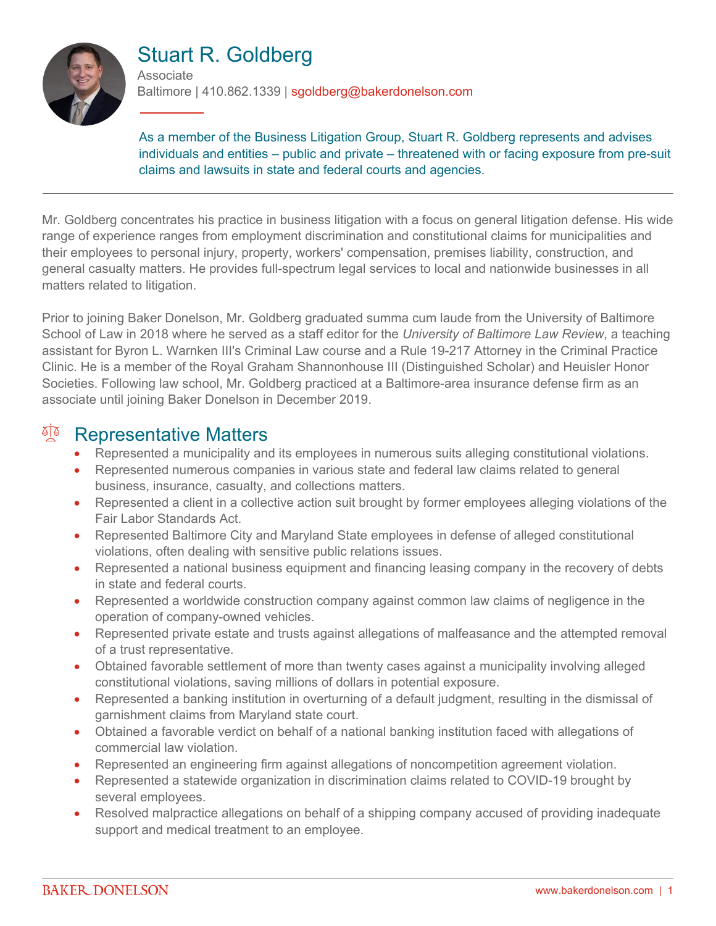

# Stuart R. Goldberg

**Associate** 

Baltimore | 410.862.1339 | sgoldberg@bakerdonelson.com

As a member of the Business Litigation Group, Stuart R. Goldberg represents and advises individuals and entities – public and private – threatened with or facing exposure from pre-suit claims and lawsuits in state and federal courts and agencies.

Mr. Goldberg concentrates his practice in business litigation with a focus on general litigation defense. His wide range of experience ranges from employment discrimination and constitutional claims for municipalities and their employees to personal injury, property, workers' compensation, premises liability, construction, and general casualty matters. He provides full-spectrum legal services to local and nationwide businesses in all matters related to litigation.

Prior to joining Baker Donelson, Mr. Goldberg graduated summa cum laude from the University of Baltimore School of Law in 2018 where he served as a staff editor for the *University of Baltimore Law Review*, a teaching assistant for Byron L. Warnken III's Criminal Law course and a Rule 19-217 Attorney in the Criminal Practice Clinic. He is a member of the Royal Graham Shannonhouse III (Distinguished Scholar) and Heuisler Honor Societies. Following law school, Mr. Goldberg practiced at a Baltimore-area insurance defense firm as an associate until joining Baker Donelson in December 2019.

### **Representative Matters**

- Represented a municipality and its employees in numerous suits alleging constitutional violations.
- Represented numerous companies in various state and federal law claims related to general business, insurance, casualty, and collections matters.
- Represented a client in a collective action suit brought by former employees alleging violations of the Fair Labor Standards Act.
- Represented Baltimore City and Maryland State employees in defense of alleged constitutional violations, often dealing with sensitive public relations issues.
- Represented a national business equipment and financing leasing company in the recovery of debts in state and federal courts.
- Represented a worldwide construction company against common law claims of negligence in the operation of company-owned vehicles.
- Represented private estate and trusts against allegations of malfeasance and the attempted removal of a trust representative.
- Obtained favorable settlement of more than twenty cases against a municipality involving alleged constitutional violations, saving millions of dollars in potential exposure.
- Represented a banking institution in overturning of a default judgment, resulting in the dismissal of garnishment claims from Maryland state court.
- Obtained a favorable verdict on behalf of a national banking institution faced with allegations of commercial law violation.
- Represented an engineering firm against allegations of noncompetition agreement violation.
- Represented a statewide organization in discrimination claims related to COVID-19 brought by several employees.
- Resolved malpractice allegations on behalf of a shipping company accused of providing inadequate support and medical treatment to an employee.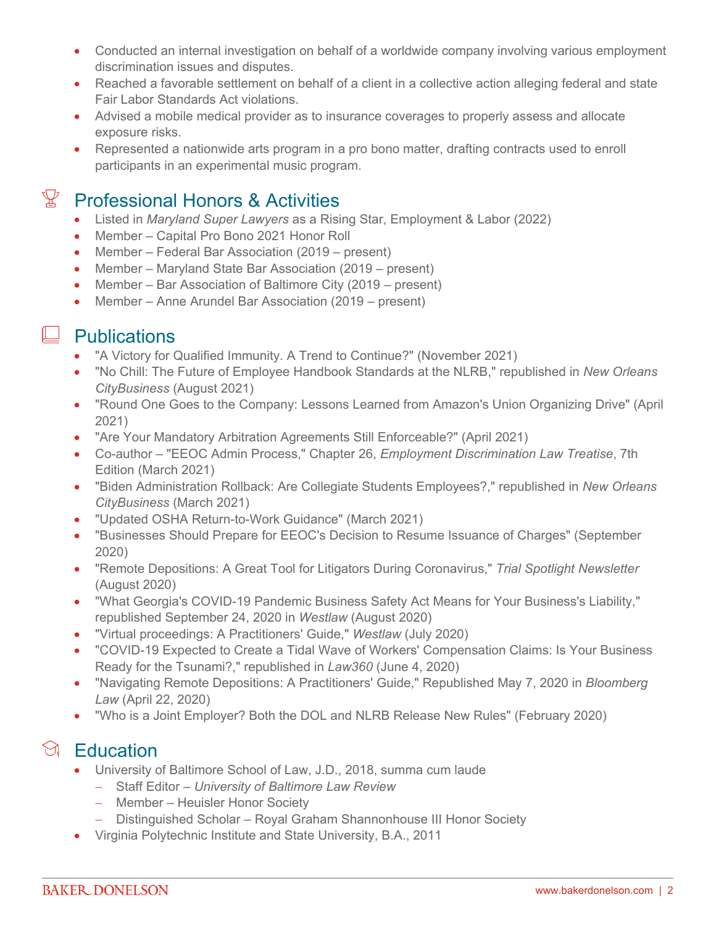- Conducted an internal investigation on behalf of a worldwide company involving various employment discrimination issues and disputes.
- Reached a favorable settlement on behalf of a client in a collective action alleging federal and state Fair Labor Standards Act violations.
- Advised a mobile medical provider as to insurance coverages to properly assess and allocate exposure risks.
- Represented a nationwide arts program in a pro bono matter, drafting contracts used to enroll participants in an experimental music program.

## $\mathbb{X}$  Professional Honors & Activities

- Listed in *Maryland Super Lawyers* as a Rising Star, Employment & Labor (2022)
- Member Capital Pro Bono 2021 Honor Roll
- Member Federal Bar Association (2019 present)
- Member Maryland State Bar Association (2019 present)
- Member Bar Association of Baltimore City (2019 present)
- Member Anne Arundel Bar Association (2019 present)

#### $\Box$  Publications

- "A Victory for Qualified Immunity. A Trend to Continue?" (November 2021)
- "No Chill: The Future of Employee Handbook Standards at the NLRB," republished in *New Orleans CityBusiness* (August 2021)
- "Round One Goes to the Company: Lessons Learned from Amazon's Union Organizing Drive" (April 2021)
- "Are Your Mandatory Arbitration Agreements Still Enforceable?" (April 2021)
- Co-author "EEOC Admin Process," Chapter 26, *Employment Discrimination Law Treatise*, 7th Edition (March 2021)
- "Biden Administration Rollback: Are Collegiate Students Employees?," republished in *New Orleans CityBusiness* (March 2021)
- "Updated OSHA Return-to-Work Guidance" (March 2021)
- "Businesses Should Prepare for EEOC's Decision to Resume Issuance of Charges" (September 2020)
- "Remote Depositions: A Great Tool for Litigators During Coronavirus," *Trial Spotlight Newsletter* (August 2020)
- "What Georgia's COVID-19 Pandemic Business Safety Act Means for Your Business's Liability," republished September 24, 2020 in *Westlaw* (August 2020)
- "Virtual proceedings: A Practitioners' Guide," *Westlaw* (July 2020)
- "COVID-19 Expected to Create a Tidal Wave of Workers' Compensation Claims: Is Your Business Ready for the Tsunami?," republished in *Law360* (June 4, 2020)
- "Navigating Remote Depositions: A Practitioners' Guide," Republished May 7, 2020 in *Bloomberg Law* (April 22, 2020)
- "Who is a Joint Employer? Both the DOL and NLRB Release New Rules" (February 2020)

## $\Im$  Education

- University of Baltimore School of Law, J.D., 2018, summa cum laude
	- Staff Editor *University of Baltimore Law Review*
	- Member Heuisler Honor Society
	- Distinguished Scholar Royal Graham Shannonhouse III Honor Society
- Virginia Polytechnic Institute and State University, B.A., 2011